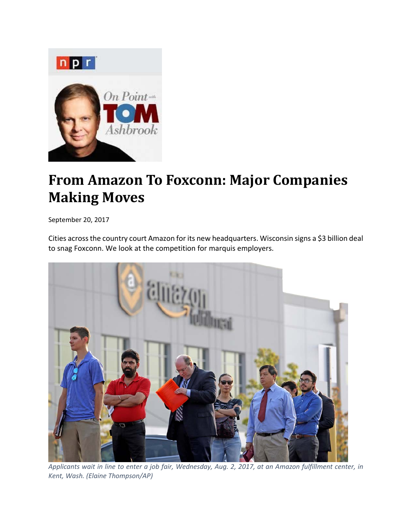

## **From Amazon To Foxconn: Major Companies Making Moves**

September 20, 2017

Cities acrossthe country court Amazon for its new headquarters. Wisconsin signs a \$3 billion deal to snag Foxconn. We look at the competition for marquis employers.



Applicants wait in line to enter a job fair, Wednesday, Aug. 2, 2017, at an Amazon fulfillment center, in *Kent, Wash. (Elaine Thompson/AP)*